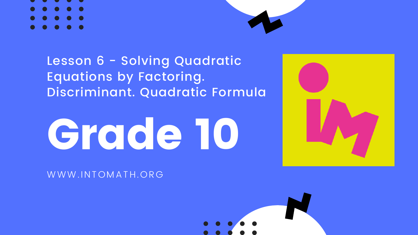# Grade 10

WWW.INTOMATH.ORG









### Lesson 6 - Solving Quadratic Equations by Factoring. Discriminant. Quadratic Formula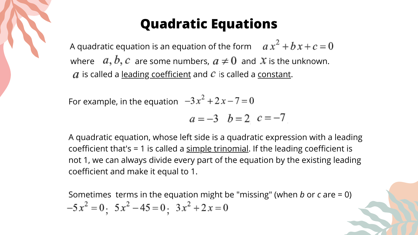Sometimes terms in the equation might be "missing" (when *b* or *c* are = 0)  $-5x^2 = 0$ ;  $5x^2 - 45 = 0$ ;  $3x^2 + 2x = 0$ 

A quadratic equation, whose left side is a quadratic expression with a leading coefficient that's = 1 is called a  $\frac{\text{simple trinomial}}{\text{trion}}$ . If the leading coefficient is not 1, we can always divide every part of the equation by the existing leading coefficient and make it equal to 1.

### **Quadratic Equations**

where  $a, b, c$  are some numbers,  $a \neq 0$  and  $x$  is the unknown.  $a$  is called a <u>leading coefficient</u> and  $c$  is called a <u>constant</u>. A quadratic equation is an equation of the form  $ax^2 + bx + c = 0$ 

For example, in the equation  $-3x^2 + 2x - 7 = 0$  $a = -3$   $b = 2$   $c = -7$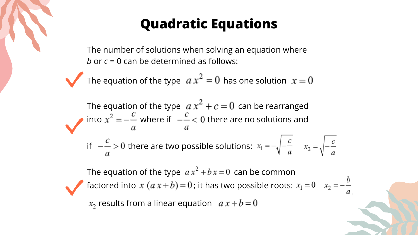### **Quadratic Equations**

The number of solutions when solving an equation where *b* or *c* = 0 can be determined as follows:

The equation of the type  $ax^2 = 0$  has one solution  $x = 0$ 

The equation of the type  $\{a\ x^\mathtt{+}+c=0\}$  can be rearranged into  $x^2 = -\frac{1}{x}$  where if  $\theta = -\frac{1}{x}$  where are no solutions and if  $-\frac{c}{x} > 0$  there are two possible solutions:  $x_1$ 

The equation of the type  $ax^2 + bx = 0$  can be common factored into  $x (a x + b) = 0$ ; it has two possible roots:  $x_1 = 0$   $x_2 = -\frac{b}{a}$  $x_2$  results from a linear equation  $ax + b = 0$ 

- 
- 
- 

$$
a_1 = -\sqrt{-\frac{c}{a}} \qquad x_2 = \sqrt{-\frac{c}{a}}
$$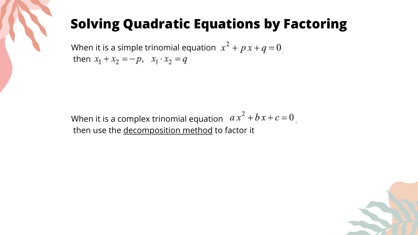

When it is a simple trinomial equation  $x^2 + p x + q = 0$ then  $x_1 + x_2 = -p$ ,  $x_1 \cdot x_2 = q$ 

When it is a complex trinomial equation  $ax^2 + bx + c = 0$ . then use the decomposition method to factor it

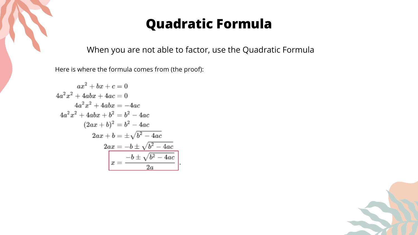

### **Quadratic Formula**

When you are not able to factor, use the Quadratic Formula

Here is where the formula comes from (the proof):

$$
ax^{2} + bx + c = 0
$$
  
\n
$$
4a^{2}x^{2} + 4abx + 4ac = 0
$$
  
\n
$$
4a^{2}x^{2} + 4abx = -4ac
$$
  
\n
$$
4a^{2}x^{2} + 4abx + b^{2} = b^{2} - 4ac
$$
  
\n
$$
(2ax + b)^{2} = b^{2} - 4ac
$$
  
\n
$$
2ax + b = \pm \sqrt{b^{2} - 4ac}
$$
  
\n
$$
2ax = -b \pm \sqrt{b^{2} - 4ac}
$$
  
\n
$$
x = \frac{-b \pm \sqrt{b^{2} - 4ac}}{2a}
$$



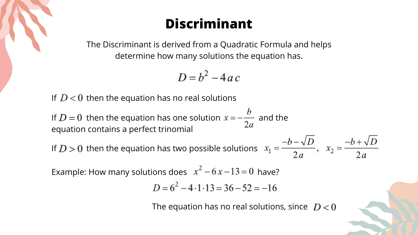The Discriminant is derived from a Quadratic Formula and helps determine how many solutions the equation has.

$$
D = b^2 - 4ac
$$

If  $D < 0$  then the equation has no real solutions

If  $D = 0$  then the equation has one solution  $x = -\frac{b}{2a}$  and the equation contains a perfect trinomial

If  $D > 0$  then the equation has two possible solutions

Example: How many solutions does  $x^2 - 6x - 13 = 0$  have?

$$
D = 6^2 - 4 \cdot 1 \cdot 13 = 36 - 52 =
$$

The equation has no real solutions, since  $D < 0$ 

$$
x_1 = \frac{-b - \sqrt{D}}{2a}, \quad x_2 = \frac{-b + \sqrt{D}}{2a}
$$

 $-16$ 



### **Discriminant**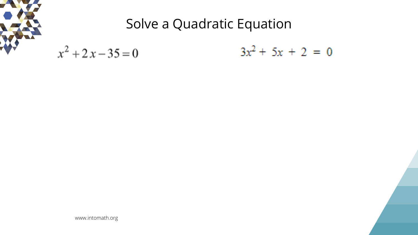www.intomath.org

### $+5x + 2 = 0$





### Solve a Quadratic Equation

$$
x^2 + 2x - 35 = 0 \t\t 3x^2
$$